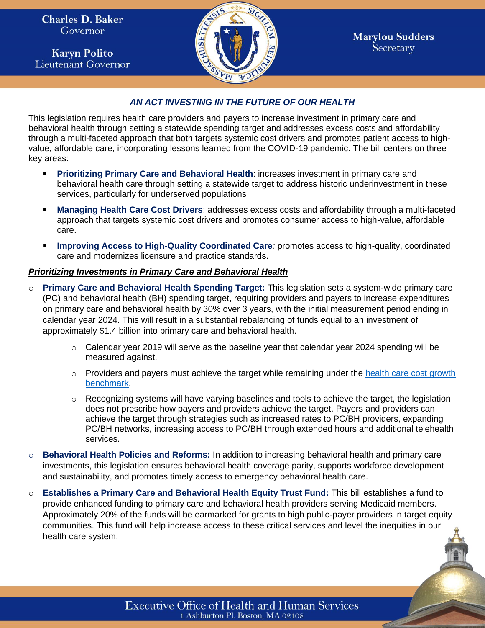**Charles D. Baker** Governor

**Karyn Polito Lieutenant Governor** 



1

## *AN ACT INVESTING IN THE FUTURE OF OUR HEALTH*

This legislation requires health care providers and payers to increase investment in primary care and behavioral health through setting a statewide spending target and addresses excess costs and affordability through a multi-faceted approach that both targets systemic cost drivers and promotes patient access to highvalue, affordable care, incorporating lessons learned from the COVID-19 pandemic. The bill centers on three key areas:

- Prioritizing Primary Care and Behavioral Health: increases investment in primary care and behavioral health care through setting a statewide target to address historic underinvestment in these services, particularly for underserved populations
- **Managing Health Care Cost Drivers: addresses excess costs and affordability through a multi-faceted** approach that targets systemic cost drivers and promotes consumer access to high-value, affordable care.
- **Improving Access to High-Quality Coordinated Care**: promotes access to high-quality, coordinated care and modernizes licensure and practice standards.

## *Prioritizing Investments in Primary Care and Behavioral Health*

- o **Primary Care and Behavioral Health Spending Target:** This legislation sets a system-wide primary care (PC) and behavioral health (BH) spending target, requiring providers and payers to increase expenditures on primary care and behavioral health by 30% over 3 years, with the initial measurement period ending in calendar year 2024. This will result in a substantial rebalancing of funds equal to an investment of approximately \$1.4 billion into primary care and behavioral health.
	- $\circ$  Calendar year 2019 will serve as the baseline year that calendar year 2024 spending will be measured against.
	- $\circ$  Providers and payers must achieve the target while remaining under the health care cost growth [benchmark.](https://www.mass.gov/info-details/health-care-cost-growth-benchmark#:~:text=calendar%20year%202020.-,As%20required%20by%20state%20law%2C%20the%20HPC%20will%20set%20the,the%20benchmark%20is%20reasonably%20warranted.)
	- $\circ$  Recognizing systems will have varying baselines and tools to achieve the target, the legislation does not prescribe how payers and providers achieve the target. Payers and providers can achieve the target through strategies such as increased rates to PC/BH providers, expanding PC/BH networks, increasing access to PC/BH through extended hours and additional telehealth services.
- o **Behavioral Health Policies and Reforms:** In addition to increasing behavioral health and primary care investments, this legislation ensures behavioral health coverage parity, supports workforce development and sustainability, and promotes timely access to emergency behavioral health care.
- o **Establishes a Primary Care and Behavioral Health Equity Trust Fund:** This bill establishes a fund to provide enhanced funding to primary care and behavioral health providers serving Medicaid members. Approximately 20% of the funds will be earmarked for grants to high public-payer providers in target equity communities. This fund will help increase access to these critical services and level the inequities in our health care system.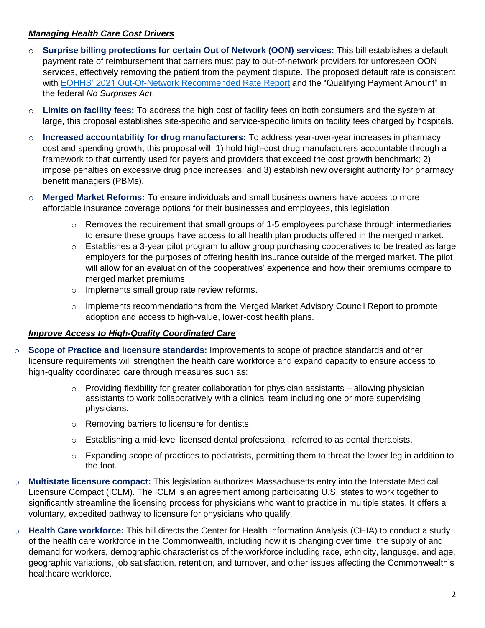## *Managing Health Care Cost Drivers*

- o **Surprise billing protections for certain Out of Network (OON) services:** This bill establishes a default payment rate of reimbursement that carriers must pay to out-of-network providers for unforeseen OON services, effectively removing the patient from the payment dispute. The proposed default rate is consistent with [EOHHS' 2021 Out-Of-Network Recommended Rate Report](https://www.mass.gov/doc/report-to-the-massachusetts-legislature-out-of-network-rate-recommendations/download) and the "Qualifying Payment Amount" in the federal *No Surprises Act*.
- o **Limits on facility fees:** To address the high cost of facility fees on both consumers and the system at large, this proposal establishes site-specific and service-specific limits on facility fees charged by hospitals.
- o **Increased accountability for drug manufacturers:** To address year-over-year increases in pharmacy cost and spending growth, this proposal will: 1) hold high-cost drug manufacturers accountable through a framework to that currently used for payers and providers that exceed the cost growth benchmark; 2) impose penalties on excessive drug price increases; and 3) establish new oversight authority for pharmacy benefit managers (PBMs).
- o **Merged Market Reforms:** To ensure individuals and small business owners have access to more affordable insurance coverage options for their businesses and employees, this legislation
	- $\circ$  Removes the requirement that small groups of 1-5 employees purchase through intermediaries to ensure these groups have access to all health plan products offered in the merged market.
	- $\circ$  Establishes a 3-year pilot program to allow group purchasing cooperatives to be treated as large employers for the purposes of offering health insurance outside of the merged market. The pilot will allow for an evaluation of the cooperatives' experience and how their premiums compare to merged market premiums.
	- o Implements small group rate review reforms.
	- $\circ$  Implements recommendations from the Merged Market Advisory Council Report to promote adoption and access to high-value, lower-cost health plans.

## *Improve Access to High-Quality Coordinated Care*

- o **Scope of Practice and licensure standards:** Improvements to scope of practice standards and other licensure requirements will strengthen the health care workforce and expand capacity to ensure access to high-quality coordinated care through measures such as:
	- o Providing flexibility for greater collaboration for physician assistants allowing physician assistants to work collaboratively with a clinical team including one or more supervising physicians.
	- o Removing barriers to licensure for dentists.
	- o Establishing a mid-level licensed dental professional, referred to as dental therapists.
	- $\circ$  Expanding scope of practices to podiatrists, permitting them to threat the lower leg in addition to the foot.
- o **Multistate licensure compact:** This legislation authorizes Massachusetts entry into the Interstate Medical Licensure Compact (ICLM). The ICLM is an agreement among participating U.S. states to work together to significantly streamline the licensing process for physicians who want to practice in multiple states. It offers a voluntary, expedited pathway to licensure for physicians who qualify.
- o **Health Care workforce:** This bill directs the Center for Health Information Analysis (CHIA) to conduct a study of the health care workforce in the Commonwealth, including how it is changing over time, the supply of and demand for workers, demographic characteristics of the workforce including race, ethnicity, language, and age, geographic variations, job satisfaction, retention, and turnover, and other issues affecting the Commonwealth's healthcare workforce.